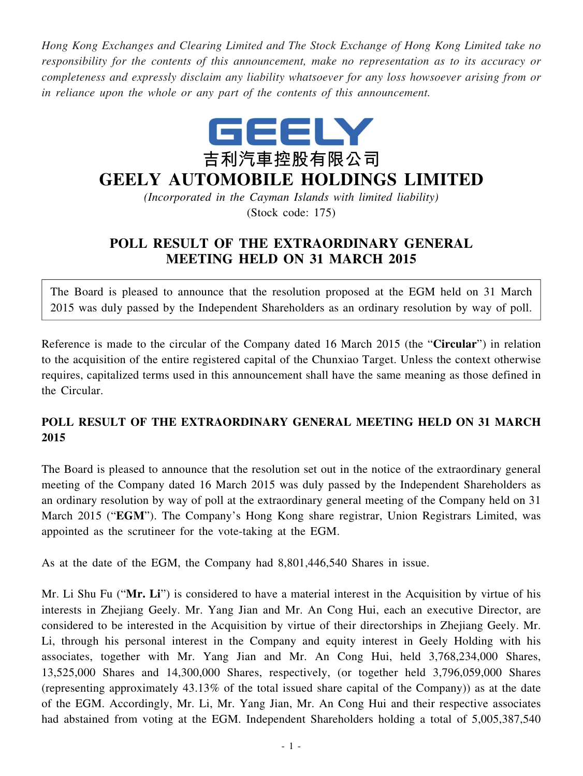*Hong Kong Exchanges and Clearing Limited and The Stock Exchange of Hong Kong Limited take no responsibility for the contents of this announcement, make no representation as to its accuracy or completeness and expressly disclaim any liability whatsoever for any loss howsoever arising from or in reliance upon the whole or any part of the contents of this announcement.*



## **GEELY AUTOMOBILE HOLDINGS LIMITED**

*(Incorporated in the Cayman Islands with limited liability)* (Stock code: 175)

## **POLL RESULT OF THE EXTRAORDINARY GENERAL MEETING HELD ON 31 MARCH 2015**

The Board is pleased to announce that the resolution proposed at the EGM held on 31 March 2015 was duly passed by the Independent Shareholders as an ordinary resolution by way of poll.

Reference is made to the circular of the Company dated 16 March 2015 (the "**Circular**") in relation to the acquisition of the entire registered capital of the Chunxiao Target. Unless the context otherwise requires, capitalized terms used in this announcement shall have the same meaning as those defined in the Circular.

## **POLL RESULT OF THE EXTRAORDINARY GENERAL MEETING HELD ON 31 MARCH 2015**

The Board is pleased to announce that the resolution set out in the notice of the extraordinary general meeting of the Company dated 16 March 2015 was duly passed by the Independent Shareholders as an ordinary resolution by way of poll at the extraordinary general meeting of the Company held on 31 March 2015 ("**EGM**"). The Company's Hong Kong share registrar, Union Registrars Limited, was appointed as the scrutineer for the vote-taking at the EGM.

As at the date of the EGM, the Company had 8,801,446,540 Shares in issue.

Mr. Li Shu Fu ("**Mr. Li**") is considered to have a material interest in the Acquisition by virtue of his interests in Zhejiang Geely. Mr. Yang Jian and Mr. An Cong Hui, each an executive Director, are considered to be interested in the Acquisition by virtue of their directorships in Zhejiang Geely. Mr. Li, through his personal interest in the Company and equity interest in Geely Holding with his associates, together with Mr. Yang Jian and Mr. An Cong Hui, held 3,768,234,000 Shares, 13,525,000 Shares and 14,300,000 Shares, respectively, (or together held 3,796,059,000 Shares (representing approximately 43.13% of the total issued share capital of the Company)) as at the date of the EGM. Accordingly, Mr. Li, Mr. Yang Jian, Mr. An Cong Hui and their respective associates had abstained from voting at the EGM. Independent Shareholders holding a total of 5,005,387,540